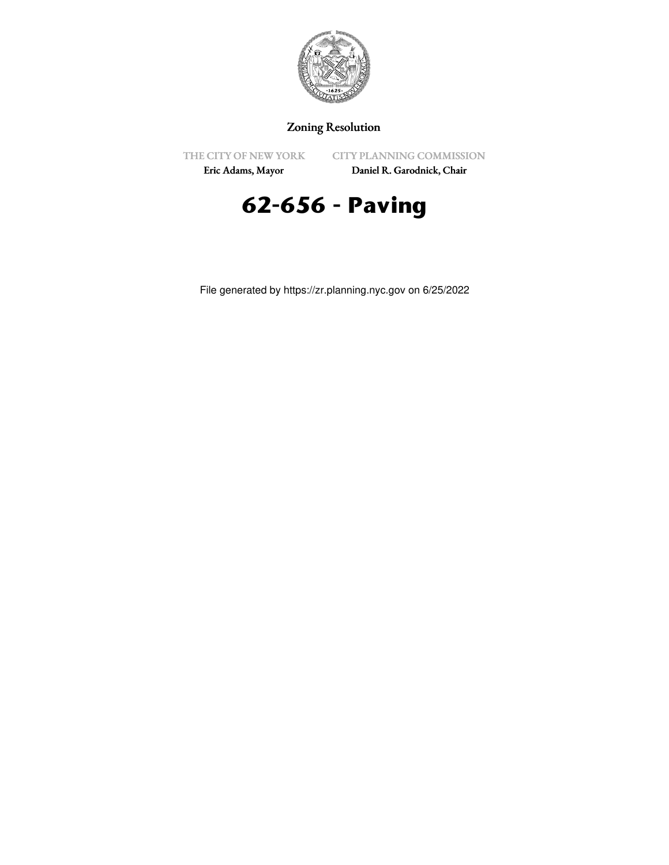

## Zoning Resolution

THE CITY OF NEW YORK

CITY PLANNING COMMISSION

Eric Adams, Mayor

Daniel R. Garodnick, Chair



File generated by https://zr.planning.nyc.gov on 6/25/2022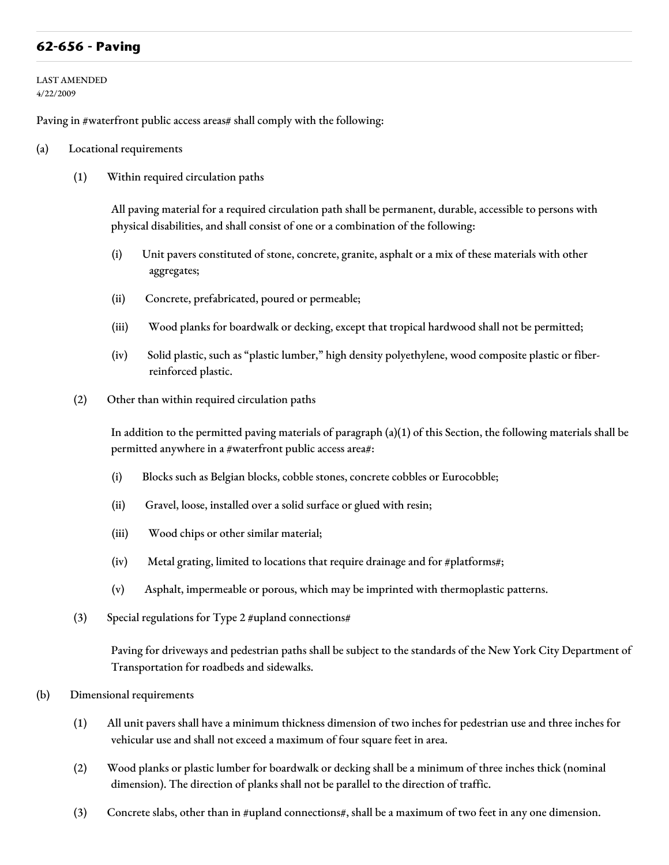## **62-656 - Paving**

LAST AMENDED 4/22/2009

Paving in #waterfront public access areas# shall comply with the following:

- (a) Locational requirements
	- (1) Within required circulation paths

All paving material for a required circulation path shall be permanent, durable, accessible to persons with physical disabilities, and shall consist of one or a combination of the following:

- (i) Unit pavers constituted of stone, concrete, granite, asphalt or a mix of these materials with other aggregates;
- (ii) Concrete, prefabricated, poured or permeable;
- (iii) Wood planks for boardwalk or decking, except that tropical hardwood shall not be permitted;
- (iv) Solid plastic, such as "plastic lumber," high density polyethylene, wood composite plastic or fiberreinforced plastic.
- (2) Other than within required circulation paths

In addition to the permitted paving materials of paragraph (a)(1) of this Section, the following materials shall be permitted anywhere in a #waterfront public access area#:

- (i) Blocks such as Belgian blocks, cobble stones, concrete cobbles or Eurocobble;
- (ii) Gravel, loose, installed over a solid surface or glued with resin;
- (iii) Wood chips or other similar material;
- (iv) Metal grating, limited to locations that require drainage and for #platforms#;
- (v) Asphalt, impermeable or porous, which may be imprinted with thermoplastic patterns.
- (3) Special regulations for Type 2 #upland connections#

Paving for driveways and pedestrian paths shall be subject to the standards of the New York City Department of Transportation for roadbeds and sidewalks.

- (b) Dimensional requirements
	- (1) All unit pavers shall have a minimum thickness dimension of two inches for pedestrian use and three inches for vehicular use and shall not exceed a maximum of four square feet in area.
	- (2) Wood planks or plastic lumber for boardwalk or decking shall be a minimum of three inches thick (nominal dimension). The direction of planks shall not be parallel to the direction of traffic.
	- (3) Concrete slabs, other than in #upland connections#, shall be a maximum of two feet in any one dimension.